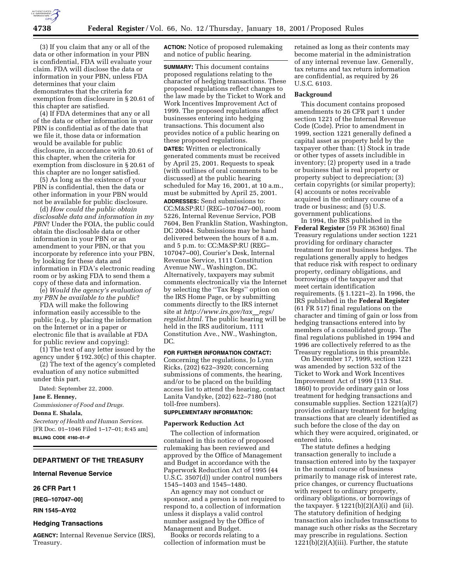

(3) If you claim that any or all of the data or other information in your PBN is confidential, FDA will evaluate your claim. FDA will disclose the data or information in your PBN, unless FDA determines that your claim demonstrates that the criteria for exemption from disclosure in § 20.61 of this chapter are satisfied.

(4) If FDA determines that any or all of the data or other information in your PBN is confidential as of the date that we file it, those data or information would be available for public disclosure, in accordance with 20.61 of this chapter, when the criteria for exemption from disclosure in § 20.61 of this chapter are no longer satisfied.

(5) As long as the existence of your PBN is confidential, then the data or other information in your PBN would not be available for public disclosure.

(d) *How could the public obtain disclosable data and information in my PBN*? Under the FOIA, the public could obtain the disclosable data or other information in your PBN or an amendment to your PBN, or that you incorporate by reference into your PBN, by looking for these data and information in FDA's electronic reading room or by asking FDA to send them a copy of these data and information.

(e) *Would the agency's evaluation of my PBN be available to the public*?

FDA will make the following information easily accessible to the public (e.g., by placing the information on the Internet or in a paper or electronic file that is available at FDA for public review and copying):

(1) The text of any letter issued by the agency under § 192.30(c) of this chapter.

(2) The text of the agency's completed evaluation of any notice submitted under this part.

Dated: September 22, 2000.

## **Jane E. Henney,**

*Commissioner of Food and Drugs.*

# **Donna E. Shalala,**

*Secretary of Health and Human Services.* [FR Doc. 01–1046 Filed 1–17–01; 8:45 am] **BILLING CODE 4160–01–F**

# **DEPARTMENT OF THE TREASURY**

**Internal Revenue Service**

### **26 CFR Part 1**

**[REG–107047–00]**

**RIN 1545–AY02**

#### **Hedging Transactions**

**AGENCY:** Internal Revenue Service (IRS), Treasury.

**ACTION:** Notice of proposed rulemaking and notice of public hearing.

**SUMMARY:** This document contains proposed regulations relating to the character of hedging transactions. These proposed regulations reflect changes to the law made by the Ticket to Work and Work Incentives Improvement Act of 1999. The proposed regulations affect businesses entering into hedging transactions. This document also provides notice of a public hearing on these proposed regulations. **DATES:** Written or electronically generated comments must be received by April 25, 2001. Requests to speak (with outlines of oral comments to be discussed) at the public hearing scheduled for May 16, 2001, at 10 a.m., must be submitted by April 25, 2001. **ADDRESSES:** Send submissions to: CC:M&SP:RU (REG–107047–00), room 5226, Internal Revenue Service, POB 7604, Ben Franklin Station, Washington, DC 20044. Submissions may be hand delivered between the hours of 8 a.m. and 5 p.m. to: CC:M&SP:RU (REG– 107047–00), Courier's Desk, Internal Revenue Service, 1111 Constitution Avenue NW., Washington, DC. Alternatively, taxpayers may submit comments electronically via the Internet by selecting the ''Tax Regs'' option on the IRS Home Page, or by submitting comments directly to the IRS internet site at *http://www.irs.gov/tax\_regs/ regslist.html.* The public hearing will be held in the IRS auditorium, 1111 Constitution Ave., NW., Washington, DC.

# **FOR FURTHER INFORMATION CONTACT:**

Concerning the regulations, Jo Lynn Ricks, (202) 622–3920; concerning submissions of comments, the hearing, and/or to be placed on the building access list to attend the hearing, contact Lanita Vandyke, (202) 622–7180 (not toll-free numbers).

# **SUPPLEMENTARY INFORMATION:**

#### **Paperwork Reduction Act**

The collection of information contained in this notice of proposed rulemaking has been reviewed and approved by the Office of Management and Budget in accordance with the Paperwork Reduction Act of 1995 (44 U.S.C. 3507(d)) under control numbers 1545–1403 and 1545–1480.

An agency may not conduct or sponsor, and a person is not required to respond to, a collection of information unless it displays a valid control number assigned by the Office of Management and Budget.

Books or records relating to a collection of information must be

retained as long as their contents may become material in the administration of any internal revenue law. Generally, tax returns and tax return information are confidential, as required by 26 U.S.C. 6103.

### **Background**

This document contains proposed amendments to 26 CFR part 1 under section 1221 of the Internal Revenue Code (Code). Prior to amendment in 1999, section 1221 generally defined a capital asset as property held by the taxpayer other than: (1) Stock in trade or other types of assets includible in inventory; (2) property used in a trade or business that is real property or property subject to depreciation; (3) certain copyrights (or similar property); (4) accounts or notes receivable acquired in the ordinary course of a trade or business; and (5) U.S. government publications.

In 1994, the IRS published in the **Federal Register** (59 FR 36360) final Treasury regulations under section 1221 providing for ordinary character treatment for most business hedges. The regulations generally apply to hedges that reduce risk with respect to ordinary property, ordinary obligations, and borrowings of the taxpayer and that meet certain identification requirements. (§ 1.1221–2). In 1996, the IRS published in the **Federal Register** (61 FR 517) final regulations on the character and timing of gain or loss from hedging transactions entered into by members of a consolidated group. The final regulations published in 1994 and 1996 are collectively referred to as the Treasury regulations in this preamble.

On December 17, 1999, section 1221 was amended by section 532 of the Ticket to Work and Work Incentives Improvement Act of 1999 (113 Stat. 1860) to provide ordinary gain or loss treatment for hedging transactions and consumable supplies. Section 1221(a)(7) provides ordinary treatment for hedging transactions that are clearly identified as such before the close of the day on which they were acquired, originated, or entered into.

The statute defines a hedging transaction generally to include a transaction entered into by the taxpayer in the normal course of business primarily to manage risk of interest rate, price changes, or currency fluctuations with respect to ordinary property, ordinary obligations, or borrowings of the taxpayer.  $\S 1221(b)(2)(A)(i)$  and (ii). The statutory definition of hedging transaction also includes transactions to manage such other risks as the Secretary may prescribe in regulations. Section 1221(b)(2)(A)(iii). Further, the statute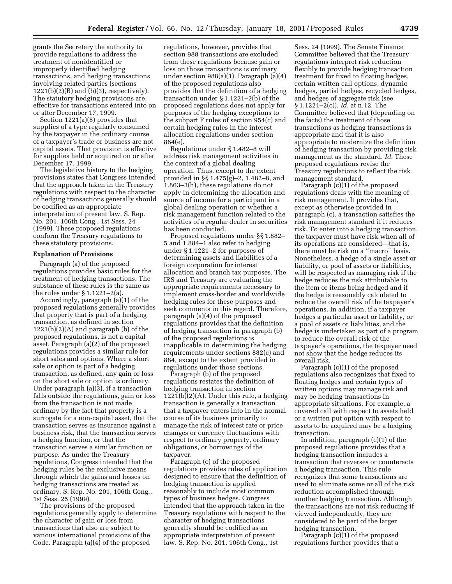grants the Secretary the authority to provide regulations to address the treatment of nonidentified or improperly identified hedging transactions, and hedging transactions involving related parties (sections  $1221(b)(2)(B)$  and  $(b)(3)$ , respectively). The statutory hedging provisions are effective for transactions entered into on or after December 17, 1999.

Section 1221(a)(8) provides that supplies of a type regularly consumed by the taxpayer in the ordinary course of a taxpayer's trade or business are not capital assets. That provision is effective for supplies held or acquired on or after December 17, 1999.

The legislative history to the hedging provisions states that Congress intended that the approach taken in the Treasury regulations with respect to the character of hedging transactions generally should be codified as an appropriate interpretation of present law. S. Rep. No. 201, 106th Cong., 1st Sess. 24 (1999). These proposed regulations conform the Treasury regulations to these statutory provisions.

# **Explanation of Provisions**

Paragraph (a) of the proposed regulations provides basic rules for the treatment of hedging transactions. The substance of these rules is the same as the rules under § 1.1221–2(a).

Accordingly, paragraph (a)(1) of the proposed regulations generally provides that property that is part of a hedging transaction, as defined in section 1221(b)(2)(A) and paragraph (b) of the proposed regulations, is not a capital asset. Paragraph (a)(2) of the proposed regulations provides a similar rule for short sales and options. Where a short sale or option is part of a hedging transaction, as defined, any gain or loss on the short sale or option is ordinary. Under paragraph (a)(3), if a transaction falls outside the regulations, gain or loss from the transaction is not made ordinary by the fact that property is a surrogate for a non-capital asset, that the transaction serves as insurance against a business risk, that the transaction serves a hedging function, or that the transaction serves a similar function or purpose. As under the Treasury regulations, Congress intended that the hedging rules be the exclusive means through which the gains and losses on hedging transactions are treated as ordinary. S. Rep. No. 201, 106th Cong., 1st Sess. 25 (1999).

The provisions of the proposed regulations generally apply to determine the character of gain or loss from transactions that also are subject to various international provisions of the Code. Paragraph (a)(4) of the proposed

regulations, however, provides that section 988 transactions are excluded from these regulations because gain or loss on those transactions is ordinary under section 988(a)(1). Paragraph (a)(4) of the proposed regulations also provides that the definition of a hedging transaction under § 1.1221–2(b) of the proposed regulations does not apply for purposes of the hedging exceptions to the subpart F rules of section 954(c) and certain hedging rules in the interest allocation regulations under section 864(e).

Regulations under § 1.482–8 will address risk management activities in the context of a global dealing operation. Thus, except to the extent provided in §§ 1.475(g)–2, 1.482–8, and 1.863–3(h), these regulations do not apply in determining the allocation and source of income for a participant in a global dealing operation or whether a risk management function related to the activities of a regular dealer in securities has been conducted.

Proposed regulations under §§ 1.882– 5 and 1.884–1 also refer to hedging under § 1.1221–2 for purposes of determining assets and liabilities of a foreign corporation for interest allocation and branch tax purposes. The IRS and Treasury are evaluating the appropriate requirements necessary to implement cross-border and worldwide hedging rules for these purposes and seek comments in this regard. Therefore, paragraph (a)(4) of the proposed regulations provides that the definition of hedging transaction in paragraph (b) of the proposed regulations is inapplicable in determining the hedging requirements under sections 882(c) and 884, except to the extent provided in regulations under those sections.

Paragraph (b) of the proposed regulations restates the definition of hedging transaction in section 1221(b)(2)(A). Under this rule, a hedging transaction is generally a transaction that a taxpayer enters into in the normal course of its business primarily to manage the risk of interest rate or price changes or currency fluctuations with respect to ordinary property, ordinary obligations, or borrowings of the taxpayer.

Paragraph (c) of the proposed regulations provides rules of application designed to ensure that the definition of hedging transaction is applied reasonably to include most common types of business hedges. Congress intended that the approach taken in the Treasury regulations with respect to the character of hedging transactions generally should be codified as an appropriate interpretation of present law. S. Rep. No. 201, 106th Cong., 1st

Sess. 24 (1999). The Senate Finance Committee believed that the Treasury regulations interpret risk reduction flexibly to provide hedging transaction treatment for fixed to floating hedges, certain written call options, dynamic hedges, partial hedges, recycled hedges, and hedges of aggregate risk (see § 1.1221–2(c)). *Id.* at n.12. The Committee believed that (depending on the facts) the treatment of those transactions as hedging transactions is appropriate and that it is also appropriate to modernize the definition of hedging transaction by providing risk management as the standard. *Id.* These proposed regulations revise the Treasury regulations to reflect the risk management standard.

Paragraph (c)(1) of the proposed regulations deals with the meaning of risk management. It provides that, except as otherwise provided in paragraph (c), a transaction satisfies the risk management standard if it reduces risk. To enter into a hedging transaction, the taxpayer must have risk when all of its operations are considered—that is, there must be risk on a ''macro'' basis. Nonetheless, a hedge of a single asset or liability, or pool of assets or liabilities, will be respected as managing risk if the hedge reduces the risk attributable to the item or items being hedged and if the hedge is reasonably calculated to reduce the overall risk of the taxpayer's operations. In addition, if a taxpayer hedges a particular asset or liability, or a pool of assets or liabilities, and the hedge is undertaken as part of a program to reduce the overall risk of the taxpayer's operations, the taxpayer need not show that the hedge reduces its overall risk.

Paragraph (c)(1) of the proposed regulations also recognizes that fixed to floating hedges and certain types of written options may manage risk and may be hedging transactions in appropriate situations. For example, a covered call with respect to assets held or a written put option with respect to assets to be acquired may be a hedging transaction.

In addition, paragraph (c)(1) of the proposed regulations provides that a hedging transaction includes a transaction that reverses or counteracts a hedging transaction. This rule recognizes that some transactions are used to eliminate some or all of the risk reduction accomplished through another hedging transaction. Although the transactions are not risk reducing if viewed independently, they are considered to be part of the larger hedging transaction.

Paragraph (c)(1) of the proposed regulations further provides that a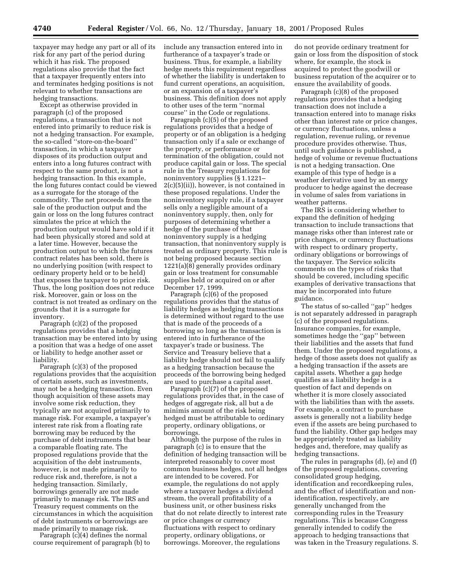taxpayer may hedge any part or all of its risk for any part of the period during which it has risk. The proposed regulations also provide that the fact that a taxpayer frequently enters into and terminates hedging positions is not relevant to whether transactions are hedging transactions.

Except as otherwise provided in paragraph (c) of the proposed regulations, a transaction that is not entered into primarily to reduce risk is not a hedging transaction. For example, the so-called ''store-on-the-board'' transaction, in which a taxpayer disposes of its production output and enters into a long futures contract with respect to the same product, is not a hedging transaction. In this example, the long futures contact could be viewed as a surrogate for the storage of the commodity. The net proceeds from the sale of the production output and the gain or loss on the long futures contract simulates the price at which the production output would have sold if it had been physically stored and sold at a later time. However, because the production output to which the futures contract relates has been sold, there is no underlying position (with respect to ordinary property held or to be held) that exposes the taxpayer to price risk. Thus, the long position does not reduce risk. Moreover, gain or loss on the contract is not treated as ordinary on the grounds that it is a surrogate for inventory.

Paragraph (c)(2) of the proposed regulations provides that a hedging transaction may be entered into by using a position that was a hedge of one asset or liability to hedge another asset or liability.

Paragraph (c)(3) of the proposed regulations provides that the acquisition of certain assets, such as investments, may not be a hedging transaction. Even though acquisition of these assets may involve some risk reduction, they typically are not acquired primarily to manage risk. For example, a taxpayer's interest rate risk from a floating rate borrowing may be reduced by the purchase of debt instruments that bear a comparable floating rate. The proposed regulations provide that the acquisition of the debt instruments, however, is not made primarily to reduce risk and, therefore, is not a hedging transaction. Similarly, borrowings generally are not made primarily to manage risk. The IRS and Treasury request comments on the circumstances in which the acquisition of debt instruments or borrowings are made primarily to manage risk.

Paragraph (c)(4) defines the normal course requirement of paragraph (b) to include any transaction entered into in furtherance of a taxpayer's trade or business. Thus, for example, a liability hedge meets this requirement regardless of whether the liability is undertaken to fund current operations, an acquisition, or an expansion of a taxpayer's business. This definition does not apply to other uses of the term ''normal course'' in the Code or regulations.

Paragraph (c)(5) of the proposed regulations provides that a hedge of property or of an obligation is a hedging transaction only if a sale or exchange of the property, or performance or termination of the obligation, could not produce capital gain or loss. The special rule in the Treasury regulations for noninventory supplies (§ 1.1221– 2(c)(5)(ii)), however, is not contained in these proposed regulations. Under the noninventory supply rule, if a taxpayer sells only a negligible amount of a noninventory supply, then, only for purposes of determining whether a hedge of the purchase of that noninventory supply is a hedging transaction, that noninventory supply is treated as ordinary property. This rule is not being proposed because section 1221(a)(8) generally provides ordinary gain or loss treatment for consumable supplies held or acquired on or after December 17, 1999.

Paragraph (c)(6) of the proposed regulations provides that the status of liability hedges as hedging transactions is determined without regard to the use that is made of the proceeds of a borrowing so long as the transaction is entered into in furtherance of the taxpayer's trade or business. The Service and Treasury believe that a liability hedge should not fail to qualify as a hedging transaction because the proceeds of the borrowing being hedged are used to purchase a capital asset.

Paragraph (c)(7) of the proposed regulations provides that, in the case of hedges of aggregate risk, all but a de minimis amount of the risk being hedged must be attributable to ordinary property, ordinary obligations, or borrowings.

Although the purpose of the rules in paragraph (c) is to ensure that the definition of hedging transaction will be interpreted reasonably to cover most common business hedges, not all hedges are intended to be covered. For example, the regulations do not apply where a taxpayer hedges a dividend stream, the overall profitability of a business unit, or other business risks that do not relate directly to interest rate or price changes or currency fluctuations with respect to ordinary property, ordinary obligations, or borrowings. Moreover, the regulations

do not provide ordinary treatment for gain or loss from the disposition of stock where, for example, the stock is acquired to protect the goodwill or business reputation of the acquirer or to ensure the availability of goods.

Paragraph (c)(8) of the proposed regulations provides that a hedging transaction does not include a transaction entered into to manage risks other than interest rate or price changes, or currency fluctuations, unless a regulation, revenue ruling, or revenue procedure provides otherwise. Thus, until such guidance is published, a hedge of volume or revenue fluctuations is not a hedging transaction. One example of this type of hedge is a weather derivative used by an energy producer to hedge against the decrease in volume of sales from variations in weather patterns.

The IRS is considering whether to expand the definition of hedging transaction to include transactions that manage risks other than interest rate or price changes, or currency fluctuations with respect to ordinary property, ordinary obligations or borrowings of the taxpayer. The Service solicits comments on the types of risks that should be covered, including specific examples of derivative transactions that may be incorporated into future guidance.

The status of so-called ''gap'' hedges is not separately addressed in paragraph (c) of the proposed regulations. Insurance companies, for example, sometimes hedge the ''gap'' between their liabilities and the assets that fund them. Under the proposed regulations, a hedge of those assets does not qualify as a hedging transaction if the assets are capital assets. Whether a gap hedge qualifies as a liability hedge is a question of fact and depends on whether it is more closely associated with the liabilities than with the assets. For example, a contract to purchase assets is generally not a liability hedge even if the assets are being purchased to fund the liability. Other gap hedges may be appropriately treated as liability hedges and, therefore, may qualify as hedging transactions.

The rules in paragraphs (d), (e) and (f) of the proposed regulations, covering consolidated group hedging, identification and recordkeeping rules, and the effect of identification and nonidentification, respectively, are generally unchanged from the corresponding rules in the Treasury regulations. This is because Congress generally intended to codify the approach to hedging transactions that was taken in the Treasury regulations. S.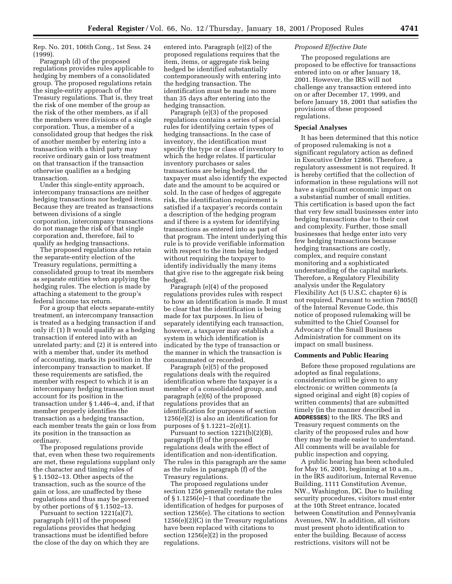Rep. No. 201, 106th Cong., 1st Sess. 24 (1999).

Paragraph (d) of the proposed regulations provides rules applicable to hedging by members of a consolidated group. The proposed regulations retain the single-entity approach of the Treasury regulations. That is, they treat the risk of one member of the group as the risk of the other members, as if all the members were divisions of a single corporation. Thus, a member of a consolidated group that hedges the risk of another member by entering into a transaction with a third party may receive ordinary gain or loss treatment on that transaction if the transaction otherwise qualifies as a hedging transaction.

Under this single-entity approach, intercompany transactions are neither hedging transactions nor hedged items. Because they are treated as transactions between divisions of a single corporation, intercompany transactions do not manage the risk of that single corporation and, therefore, fail to qualify as hedging transactions.

The proposed regulations also retain the separate-entity election of the Treasury regulations, permitting a consolidated group to treat its members as separate entities when applying the hedging rules. The election is made by attaching a statement to the group's federal income tax return.

For a group that elects separate-entity treatment, an intercompany transaction is treated as a hedging transaction if and only if: (1) It would qualify as a hedging transaction if entered into with an unrelated party; and (2) it is entered into with a member that, under its method of accounting, marks its position in the intercompany transaction to market. If these requirements are satisfied, the member with respect to which it is an intercompany hedging transaction must account for its position in the transaction under § 1.446–4, and, if that member properly identifies the transaction as a hedging transaction, each member treats the gain or loss from its position in the transaction as ordinary.

The proposed regulations provide that, even when these two requirements are met, these regulations supplant only the character and timing rules of § 1.1502–13. Other aspects of the transaction, such as the source of the gain or loss, are unaffected by these regulations and thus may be governed by other portions of § 1.1502–13.

Pursuant to section 1221(a)(7), paragraph (e)(1) of the proposed regulations provides that hedging transactions must be identified before the close of the day on which they are

entered into. Paragraph (e)(2) of the proposed regulations requires that the item, items, or aggregate risk being hedged be identified substantially contemporaneously with entering into the hedging transaction. The identification must be made no more than 35 days after entering into the hedging transaction.

Paragraph (e)(3) of the proposed regulations contains a series of special rules for identifying certain types of hedging transactions. In the case of inventory, the identification must specify the type or class of inventory to which the hedge relates. If particular inventory purchases or sales transactions are being hedged, the taxpayer must also identify the expected date and the amount to be acquired or sold. In the case of hedges of aggregate risk, the identification requirement is satisfied if a taxpayer's records contain a description of the hedging program and if there is a system for identifying transactions as entered into as part of that program. The intent underlying this rule is to provide verifiable information with respect to the item being hedged without requiring the taxpayer to identify individually the many items that give rise to the aggregate risk being hedged.

Paragraph (e)(4) of the proposed regulations provides rules with respect to how an identification is made. It must be clear that the identification is being made for tax purposes. In lieu of separately identifying each transaction, however, a taxpayer may establish a system in which identification is indicated by the type of transaction or the manner in which the transaction is consummated or recorded.

Paragraph (e)(5) of the proposed regulations deals with the required identification where the taxpayer is a member of a consolidated group, and paragraph (e)(6) of the proposed regulations provides that an identification for purposes of section 1256(e)(2) is also an identification for purposes of § 1.1221–2(e)(1).

Pursuant to section 1221(b)(2)(B), paragraph (f) of the proposed regulations deals with the effect of identification and non-identification. The rules in this paragraph are the same as the rules in paragraph (f) of the Treasury regulations.

The proposed regulations under section 1256 generally restate the rules of § 1.1256(e)–1 that coordinate the identification of hedges for purposes of section 1256(e). The citations to section  $1256(e)(2)(C)$  in the Treasury regulations have been replaced with citations to section 1256(e)(2) in the proposed regulations.

### *Proposed Effective Date*

The proposed regulations are proposed to be effective for transactions entered into on or after January 18, 2001. However, the IRS will not challenge any transaction entered into on or after December 17, 1999, and before January 18, 2001 that satisfies the provisions of these proposed regulations.

#### **Special Analyses**

It has been determined that this notice of proposed rulemaking is not a significant regulatory action as defined in Executive Order 12866. Therefore, a regulatory assessment is not required. It is hereby certified that the collection of information in these regulations will not have a significant economic impact on a substantial number of small entities. This certification is based upon the fact that very few small businesses enter into hedging transactions due to their cost and complexity. Further, those small businesses that hedge enter into very few hedging transactions because hedging transactions are costly, complex, and require constant monitoring and a sophisticated understanding of the capital markets. Therefore, a Regulatory Flexibility analysis under the Regulatory Flexibility Act (5 U.S.C. chapter 6) is not required. Pursuant to section 7805(f) of the Internal Revenue Code, this notice of proposed rulemaking will be submitted to the Chief Counsel for Advocacy of the Small Business Administration for comment on its impact on small business.

### **Comments and Public Hearing**

Before these proposed regulations are adopted as final regulations, consideration will be given to any electronic or written comments (a signed original and eight (8) copies of written comments) that are submitted timely (in the manner described in **ADDRESSES**) to the IRS. The IRS and Treasury request comments on the clarity of the proposed rules and how they may be made easier to understand. All comments will be available for public inspection and copying.

A public hearing has been scheduled for May 16, 2001, beginning at 10 a.m., in the IRS auditorium, Internal Revenue Building, 1111 Constitution Avenue, NW., Washington, DC. Due to building security procedures, visitors must enter at the 10th Street entrance, located between Constitution and Pennsylvania Avenues, NW. In addition, all visitors must present photo identification to enter the building. Because of access restrictions, visitors will not be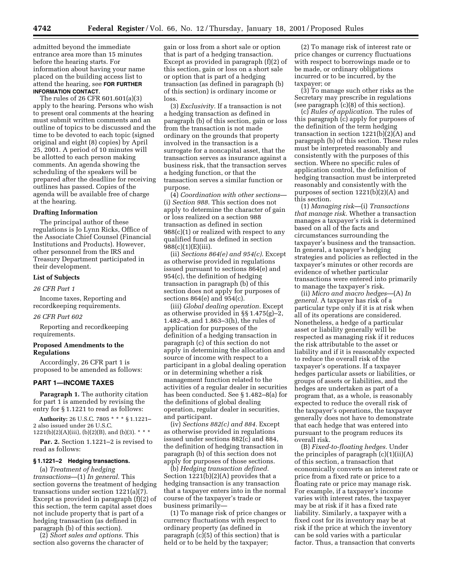admitted beyond the immediate entrance area more than 15 minutes before the hearing starts. For information about having your name placed on the building access list to attend the hearing, see **FOR FURTHER INFORMATION CONTACT**.

The rules of 26 CFR 601.601(a)(3) apply to the hearing. Persons who wish to present oral comments at the hearing must submit written comments and an outline of topics to be discussed and the time to be devoted to each topic (signed original and eight (8) copies) by April 25, 2001. A period of 10 minutes will be allotted to each person making comments. An agenda showing the scheduling of the speakers will be prepared after the deadline for receiving outlines has passed. Copies of the agenda will be available free of charge at the hearing.

## **Drafting Information**

The principal author of these regulations is Jo Lynn Ricks, Office of the Associate Chief Counsel (Financial Institutions and Products). However, other personnel from the IRS and Treasury Department participated in their development.

#### **List of Subjects**

### *26 CFR Part 1*

Income taxes, Reporting and recordkeeping requirements.

### *26 CFR Part 602*

Reporting and recordkeeping requirements.

# **Proposed Amendments to the Regulations**

Accordingly, 26 CFR part 1 is proposed to be amended as follows:

## **PART 1—INCOME TAXES**

**Paragraph 1.** The authority citation for part 1 is amended by revising the entry for § 1.1221 to read as follows:

**Authority:** 26 U.S.C. 7805 \* \* \* § 1.1221– 2 also issued under 26 U.S.C. 1221(b)(2)(A)(iii), (b)(2)(B), and (b)(3). \* \* \*

Par. 2. Section 1.1221-2 is revised to read as follows:

## **§ 1.1221–2 Hedging transactions.**

(a) *Treatment of hedging transactions*—(1) *In general.* This section governs the treatment of hedging transactions under section 1221(a)(7). Except as provided in paragraph (f)(2) of this section, the term capital asset does not include property that is part of a hedging transaction (as defined in paragraph (b) of this section).

(2) *Short sales and options.* This section also governs the character of gain or loss from a short sale or option that is part of a hedging transaction. Except as provided in paragraph (f)(2) of this section, gain or loss on a short sale or option that is part of a hedging transaction (as defined in paragraph (b) of this section) is ordinary income or loss.

(3) *Exclusivity.* If a transaction is not a hedging transaction as defined in paragraph (b) of this section, gain or loss from the transaction is not made ordinary on the grounds that property involved in the transaction is a surrogate for a noncapital asset, that the transaction serves as insurance against a business risk, that the transaction serves a hedging function, or that the transaction serves a similar function or purpose.

(4) *Coordination with other sections*— (i) *Section 988.* This section does not apply to determine the character of gain or loss realized on a section 988 transaction as defined in section  $988(c)(1)$  or realized with respect to any qualified fund as defined in section 988(c)(1)(E)(iii).

(ii) *Sections 864(e) and 954(c).* Except as otherwise provided in regulations issued pursuant to sections 864(e) and 954(c), the definition of hedging transaction in paragraph (b) of this section does not apply for purposes of sections 864(e) and 954(c).

(iii) *Global dealing operation.* Except as otherwise provided in §§ 1.475(g)–2, 1.482–8, and 1.863–3(h), the rules of application for purposes of the definition of a hedging transaction in paragraph (c) of this section do not apply in determining the allocation and source of income with respect to a participant in a global dealing operation or in determining whether a risk management function related to the activities of a regular dealer in securities has been conducted. See § 1.482–8(a) for the definitions of global dealing operation, regular dealer in securities, and participant.

(iv) *Sections 882(c) and 884.* Except as otherwise provided in regulations issued under sections 882(c) and 884, the definition of hedging transaction in paragraph (b) of this section does not apply for purposes of those sections.

(b) *Hedging transaction defined.* Section 1221(b)(2)(A) provides that a hedging transaction is any transaction that a taxpayer enters into in the normal course of the taxpayer's trade or business primarily—

(1) To manage risk of price changes or currency fluctuations with respect to ordinary property (as defined in paragraph (c)(5) of this section) that is held or to be held by the taxpayer;

(2) To manage risk of interest rate or price changes or currency fluctuations with respect to borrowings made or to be made, or ordinary obligations incurred or to be incurred, by the taxpayer; or

(3) To manage such other risks as the Secretary may prescribe in regulations (see paragraph (c)(8) of this section).

(c) *Rules of application.* The rules of this paragraph (c) apply for purposes of the definition of the term hedging transaction in section 1221(b)(2)(A) and paragraph (b) of this section. These rules must be interpreted reasonably and consistently with the purposes of this section. Where no specific rules of application control, the definition of hedging transaction must be interpreted reasonably and consistently with the purposes of section 1221(b)(2)(A) and this section.

(1) *Managing risk*—(i) *Transactions that manage risk.* Whether a transaction manages a taxpayer's risk is determined based on all of the facts and circumstances surrounding the taxpayer's business and the transaction. In general, a taxpayer's hedging strategies and policies as reflected in the taxpayer's minutes or other records are evidence of whether particular transactions were entered into primarily to manage the taxpayer's risk.

(ii) *Micro and macro hedges*—(A) *In general.* A taxpayer has risk of a particular type only if it is at risk when all of its operations are considered. Nonetheless, a hedge of a particular asset or liability generally will be respected as managing risk if it reduces the risk attributable to the asset or liability and if it is reasonably expected to reduce the overall risk of the taxpayer's operations. If a taxpayer hedges particular assets or liabilities, or groups of assets or liabilities, and the hedges are undertaken as part of a program that, as a whole, is reasonably expected to reduce the overall risk of the taxpayer's operations, the taxpayer generally does not have to demonstrate that each hedge that was entered into pursuant to the program reduces its overall risk.

(B) *Fixed-to-floating hedges.* Under the principles of paragraph  $(c)(1)(ii)(A)$ of this section, a transaction that economically converts an interest rate or price from a fixed rate or price to a floating rate or price may manage risk. For example, if a taxpayer's income varies with interest rates, the taxpayer may be at risk if it has a fixed rate liability. Similarly, a taxpayer with a fixed cost for its inventory may be at risk if the price at which the inventory can be sold varies with a particular factor. Thus, a transaction that converts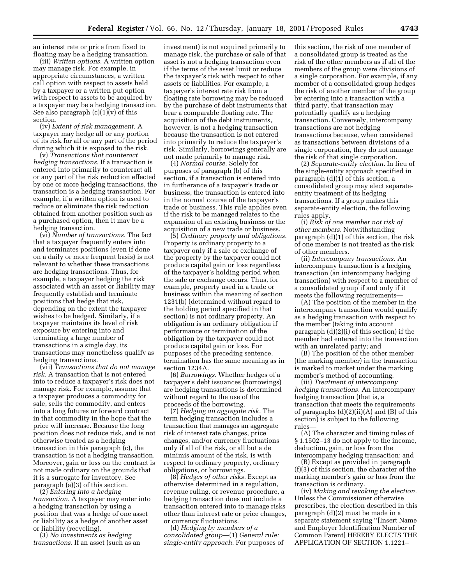an interest rate or price from fixed to floating may be a hedging transaction.

(iii) *Written options.* A written option may manage risk. For example, in appropriate circumstances, a written call option with respect to assets held by a taxpayer or a written put option with respect to assets to be acquired by a taxpayer may be a hedging transaction. See also paragraph  $(c)(1)(v)$  of this section.

(iv) *Extent of risk management.* A taxpayer may hedge all or any portion of its risk for all or any part of the period during which it is exposed to the risk.

(v) *Transactions that counteract hedging transactions.* If a transaction is entered into primarily to counteract all or any part of the risk reduction effected by one or more hedging transactions, the transaction is a hedging transaction. For example, if a written option is used to reduce or eliminate the risk reduction obtained from another position such as a purchased option, then it may be a hedging transaction.

(vi) *Number of transactions.* The fact that a taxpayer frequently enters into and terminates positions (even if done on a daily or more frequent basis) is not relevant to whether these transactions are hedging transactions. Thus, for example, a taxpayer hedging the risk associated with an asset or liability may frequently establish and terminate positions that hedge that risk, depending on the extent the taxpayer wishes to be hedged. Similarly, if a taxpayer maintains its level of risk exposure by entering into and terminating a large number of transactions in a single day, its transactions may nonetheless qualify as hedging transactions.

(vii) *Transactions that do not manage risk.* A transaction that is not entered into to reduce a taxpayer's risk does not manage risk. For example, assume that a taxpayer produces a commodity for sale, sells the commodity, and enters into a long futures or forward contract in that commodity in the hope that the price will increase. Because the long position does not reduce risk, and is not otherwise treated as a hedging transaction in this paragraph (c), the transaction is not a hedging transaction. Moreover, gain or loss on the contract is not made ordinary on the grounds that it is a surrogate for inventory. See paragraph (a)(3) of this section.

(2) *Entering into a hedging transaction.* A taxpayer may enter into a hedging transaction by using a position that was a hedge of one asset or liability as a hedge of another asset or liability (recycling).

(3) *No investments as hedging transactions.* If an asset (such as an

investment) is not acquired primarily to manage risk, the purchase or sale of that asset is not a hedging transaction even if the terms of the asset limit or reduce the taxpayer's risk with respect to other assets or liabilities. For example, a taxpayer's interest rate risk from a floating rate borrowing may be reduced by the purchase of debt instruments that bear a comparable floating rate. The acquisition of the debt instruments, however, is not a hedging transaction because the transaction is not entered into primarily to reduce the taxpayer's risk. Similarly, borrowings generally are not made primarily to manage risk.

(4) *Normal course.* Solely for purposes of paragraph (b) of this section, if a transaction is entered into in furtherance of a taxpayer's trade or business, the transaction is entered into in the normal course of the taxpayer's trade or business. This rule applies even if the risk to be managed relates to the expansion of an existing business or the acquisition of a new trade or business.

(5) *Ordinary property and obligations.* Property is ordinary property to a taxpayer only if a sale or exchange of the property by the taxpayer could not produce capital gain or loss regardless of the taxpayer's holding period when the sale or exchange occurs. Thus, for example, property used in a trade or business within the meaning of section 1231(b) (determined without regard to the holding period specified in that section) is not ordinary property. An obligation is an ordinary obligation if performance or termination of the obligation by the taxpayer could not produce capital gain or loss. For purposes of the preceding sentence, termination has the same meaning as in section 1234A.

(6) *Borrowings.* Whether hedges of a taxpayer's debt issuances (borrowings) are hedging transactions is determined without regard to the use of the proceeds of the borrowing.

(7) *Hedging an aggregate risk.* The term hedging transaction includes a transaction that manages an aggregate risk of interest rate changes, price changes, and/or currency fluctuations only if all of the risk, or all but a de minimis amount of the risk, is with respect to ordinary property, ordinary obligations, or borrowings.

(8) *Hedges of other risks.* Except as otherwise determined in a regulation, revenue ruling, or revenue procedure, a hedging transaction does not include a transaction entered into to manage risks other than interest rate or price changes, or currency fluctuations.

(d) *Hedging by members of a consolidated group*—(1) *General rule: single-entity approach.* For purposes of

this section, the risk of one member of a consolidated group is treated as the risk of the other members as if all of the members of the group were divisions of a single corporation. For example, if any member of a consolidated group hedges the risk of another member of the group by entering into a transaction with a third party, that transaction may potentially qualify as a hedging transaction. Conversely, intercompany transactions are not hedging transactions because, when considered as transactions between divisions of a single corporation, they do not manage the risk of that single corporation.

(2) *Separate-entity election.* In lieu of the single-entity approach specified in paragraph (d)(1) of this section, a consolidated group may elect separateentity treatment of its hedging transactions. If a group makes this separate-entity election, the following rules apply.

(i) *Risk of one member not risk of other members.* Notwithstanding paragraph (d)(1) of this section, the risk of one member is not treated as the risk of other members.

(ii) *Intercompany transactions.* An intercompany transaction is a hedging transaction (an intercompany hedging transaction) with respect to a member of a consolidated group if and only if it meets the following requirements—

(A) The position of the member in the intercompany transaction would qualify as a hedging transaction with respect to the member (taking into account paragraph (d)(2)(i) of this section) if the member had entered into the transaction with an unrelated party; and

(B) The position of the other member (the marking member) in the transaction is marked to market under the marking member's method of accounting.

(iii) *Treatment of intercompany hedging transactions.* An intercompany hedging transaction (that is, a transaction that meets the requirements of paragraphs (d)(2)(ii)(A) and (B) of this section) is subject to the following rules—

(A) The character and timing rules of § 1.1502–13 do not apply to the income, deduction, gain, or loss from the intercompany hedging transaction; and

(B) Except as provided in paragraph (f)(3) of this section, the character of the marking member's gain or loss from the transaction is ordinary.

(iv) *Making and revoking the election.* Unless the Commissioner otherwise prescribes, the election described in this paragraph (d)(2) must be made in a separate statement saying ''[Insert Name and Employer Identification Number of Common Parent] HEREBY ELECTS THE APPLICATION OF SECTION 1.1221–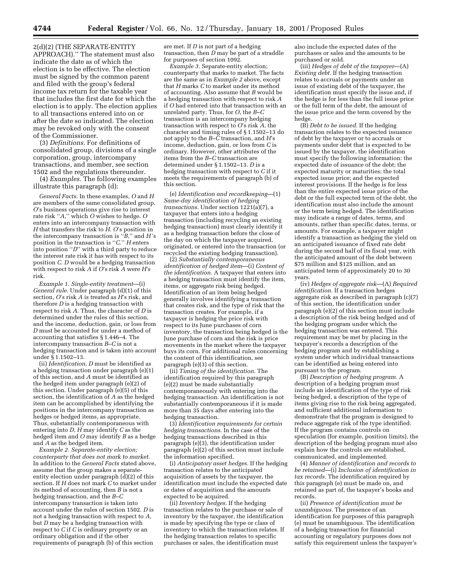2(d)(2) (THE SEPARATE-ENTITY APPROACH).'' The statement must also indicate the date as of which the election is to be effective. The election must be signed by the common parent and filed with the group's federal income tax return for the taxable year that includes the first date for which the election is to apply. The election applies to all transactions entered into on or after the date so indicated. The election may be revoked only with the consent of the Commissioner.

(3) *Definitions.* For definitions of consolidated group, divisions of a single corporation, group, intercompany transactions, and member, see section 1502 and the regulations thereunder.

(4) *Examples.* The following examples illustrate this paragraph (d):

*General Facts.* In these examples, *O* and *H* are members of the same consolidated group. *O*'s business operations give rise to interest rate risk ''*A*,'' which *O* wishes to hedge. *O* enters into an intercompany transaction with *H* that transfers the risk to *H*. *O*'s position in the intercompany transaction is  $\lq \bar{B}$ ," and *H*'s position in the transaction is ''*C*.'' *H* enters into position ''*D*'' with a third party to reduce the interest rate risk it has with respect to its position *C*. *D* would be a hedging transaction with respect to risk *A* if *O*'s risk *A* were *H*'s risk.

*Example 1. Single-entity treatment*—(i) *General rule*. Under paragraph (d)(1) of this section, *O*'s risk *A* is treated as *H*'s risk, and therefore *D* is a hedging transaction with respect to risk *A*. Thus, the character of *D* is determined under the rules of this section, and the income, deduction, gain, or loss from *D* must be accounted for under a method of accounting that satisfies § 1.446–4. The intercompany transaction *B*–*C* is not a hedging transaction and is taken into account under § 1.1502–13.

(ii) *Identification*. *D* must be identified as a hedging transaction under paragraph (e)(1) of this section, and *A* must be identified as the hedged item under paragraph (e)(2) of this section. Under paragraph (e)(5) of this section, the identification of *A* as the hedged item can be accomplished by identifying the positions in the intercompany transaction as hedges or hedged items, as appropriate. Thus, substantially contemporaneous with entering into  $D$ ,  $\overrightarrow{H}$  may identify  $C$  as the hedged item and *O* may identify *B* as a hedge and *A* as the hedged item.

*Example 2. Separate-entity election; counterparty that does not mark to market.* In addition to the *General Facts* stated above, assume that the group makes a separateentity election under paragraph (d)(2) of this section. If *H* does not mark *C* to market under its method of accounting, then *B* is not a hedging transaction, and the *B*–*C* intercompany transaction is taken into account under the rules of section 1502. *D* is not a hedging transaction with respect to *A*, but *D* may be a hedging transaction with respect to *C* if *C* is ordinary property or an ordinary obligation and if the other requirements of paragraph (b) of this section

are met. If *D* is not part of a hedging transaction, then *D* may be part of a straddle for purposes of section 1092.

*Example 3.* Separate-entity election; counterparty that marks to market. The facts are the same as in *Example 2* above, except that *H* marks *C* to market under its method of accounting. Also assume that *B* would be a hedging transaction with respect to risk *A* if *O* had entered into that transaction with an unrelated party. Thus, for *O*, the *B*–*C* transaction is an intercompany hedging transaction with respect to *O*'s risk *A*, the character and timing rules of § 1.1502–13 do not apply to the *B*–*C* transaction, and *H*'s income, deduction, gain, or loss from *C* is ordinary. However, other attributes of the items from the *B*–*C* transaction are determined under § 1.1502–13. *D* is a hedging transaction with respect to *C* if it meets the requirements of paragraph (b) of this section.

(e) *Identification and recordkeeping*—(1) *Same-day identification of hedging transactions.* Under section 1221(a)(7), a taxpayer that enters into a hedging transaction (including recycling an existing hedging transaction) must clearly identify it as a hedging transaction before the close of the day on which the taxpayer acquired, originated, or entered into the transaction (or recycled the existing hedging transaction).

(2) *Substantially contemporaneous identification of hedged item*—(i) *Content of the identification.* A taxpayer that enters into a hedging transaction must identify the item, items, or aggregate risk being hedged. Identification of an item being hedged generally involves identifying a transaction that creates risk, and the type of risk that the transaction creates. For example, if a taxpayer is hedging the price risk with respect to its June purchases of corn inventory, the transaction being hedged is the June purchase of corn and the risk is price movements in the market where the taxpayer buys its corn. For additional rules concerning the content of this identification, see paragraph (e)(3) of this section.

(ii) *Timing of the identification.* The identification required by this paragraph (e)(2) must be made substantially contemporaneously with entering into the hedging transaction. An identification is not substantially contemporaneous if it is made more than 35 days after entering into the hedging transaction.

(3) *Identification requirements for certain hedging transactions.* In the case of the hedging transactions described in this paragraph (e)(3), the identification under paragraph (e)(2) of this section must include the information specified.

(i) *Anticipatory asset hedges.* If the hedging transaction relates to the anticipated acquisition of assets by the taxpayer, the identification must include the expected date or dates of acquisition and the amounts expected to be acquired.

(ii) *Inventory hedges.* If the hedging transaction relates to the purchase or sale of inventory by the taxpayer, the identification is made by specifying the type or class of inventory to which the transaction relates. If the hedging transaction relates to specific purchases or sales, the identification must

also include the expected dates of the purchases or sales and the amounts to be purchased or sold.

(iii) *Hedges of debt of the taxpayer*—(A) *Existing debt.* If the hedging transaction relates to accruals or payments under an issue of existing debt of the taxpayer, the identification must specify the issue and, if the hedge is for less than the full issue price or the full term of the debt, the amount of the issue price and the term covered by the hedge.

(B) *Debt to be issued.* If the hedging transaction relates to the expected issuance of debt by the taxpayer or to accruals or payments under debt that is expected to be issued by the taxpayer, the identification must specify the following information: the expected date of issuance of the debt; the expected maturity or maturities; the total expected issue price; and the expected interest provisions. If the hedge is for less than the entire expected issue price of the debt or the full expected term of the debt, the identification must also include the amount or the term being hedged. The identification may indicate a range of dates, terms, and amounts, rather than specific dates, terms, or amounts. For example, a taxpayer might identify a transaction as hedging the yield on an anticipated issuance of fixed rate debt during the second half of its fiscal year, with the anticipated amount of the debt between \$75 million and \$125 million, and an anticipated term of approximately 20 to 30 years.

(iv) *Hedges of aggregate risk*—(A) *Required identification.* If a transaction hedges aggregate risk as described in paragraph (c)(7) of this section, the identification under paragraph (e)(2) of this section must include a description of the risk being hedged and of the hedging program under which the hedging transaction was entered. This requirement may be met by placing in the taxpayer's records a description of the hedging program and by establishing a system under which individual transactions can be identified as being entered into pursuant to the program.

(B) *Description of hedging program.* A description of a hedging program must include an identification of the type of risk being hedged, a description of the type of items giving rise to the risk being aggregated, and sufficient additional information to demonstrate that the program is designed to reduce aggregate risk of the type identified. If the program contains controls on speculation (for example, position limits), the description of the hedging program must also explain how the controls are established, communicated, and implemented.

(4) *Manner of identification and records to be retained*—(i) *Inclusion of identification in tax records.* The identification required by this paragraph (e) must be made on, and retained as part of, the taxpayer's books and records.

(ii) *Presence of identification must be unambiguous.* The presence of an identification for purposes of this paragraph (e) must be unambiguous. The identification of a hedging transaction for financial accounting or regulatory purposes does not satisfy this requirement unless the taxpayer's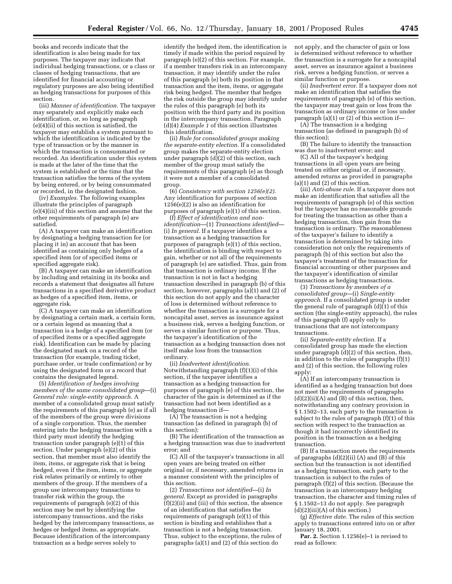books and records indicate that the identification is also being made for tax purposes. The taxpayer may indicate that individual hedging transactions, or a class or classes of hedging transactions, that are identified for financial accounting or regulatory purposes are also being identified as hedging transactions for purposes of this section.

(iii) *Manner of identification.* The taxpayer may separately and explicitly make each identification, or, so long as paragraph (e)(4)(ii) of this section is satisfied, the taxpayer may establish a system pursuant to which the identification is indicated by the type of transaction or by the manner in which the transaction is consummated or recorded. An identification under this system is made at the later of the time that the system is established or the time that the transaction satisfies the terms of the system by being entered, or by being consummated or recorded, in the designated fashion.

(iv) *Examples.* The following examples illustrate the principles of paragraph (e)(4)(iii) of this section and assume that the other requirements of paragraph (e) are satisfied.

(A) A taxpayer can make an identification by designating a hedging transaction for (or placing it in) an account that has been identified as containing only hedges of a specified item (or of specified items or specified aggregate risk).

(B) A taxpayer can make an identification by including and retaining in its books and records a statement that designates all future transactions in a specified derivative product as hedges of a specified item, items, or aggregate risk.

(C) A taxpayer can make an identification by designating a certain mark, a certain form, or a certain legend as meaning that a transaction is a hedge of a specified item (or of specified items or a specified aggregate risk). Identification can be made by placing the designated mark on a record of the transaction (for example, trading ticket, purchase order, or trade confirmation) or by using the designated form or a record that contains the designated legend.

(5) *Identification of hedges involving members of the same consolidated group*—(i) *General rule: single-entity approach.* A member of a consolidated group must satisfy the requirements of this paragraph (e) as if all of the members of the group were divisions of a single corporation. Thus, the member entering into the hedging transaction with a third party must identify the hedging transaction under paragraph (e)(1) of this section. Under paragraph (e)(2) of this section, that member must also identify the item, items, or aggregate risk that is being hedged, even if the item, items, or aggregate risk relates primarily or entirely to other members of the group. If the members of a group use intercompany transactions to transfer risk within the group, the requirements of paragraph (e)(2) of this section may be met by identifying the intercompany transactions, and the risks hedged by the intercompany transactions, as hedges or hedged items, as appropriate. Because identification of the intercompany transaction as a hedge serves solely to

identify the hedged item, the identification is timely if made within the period required by paragraph (e)(2) of this section. For example, if a member transfers risk in an intercompany transaction, it may identify under the rules of this paragraph (e) both its position in that transaction and the item, items, or aggregate risk being hedged. The member that hedges the risk outside the group may identify under the rules of this paragraph (e) both its position with the third party and its position in the intercompany transaction. Paragraph (d)(4) *Example 1* of this section illustrates this identification.

(ii) *Rule for consolidated groups making the separate-entity election.* If a consolidated group makes the separate-entity election under paragraph  $(d)(2)$  of this section, each member of the group must satisfy the requirements of this paragraph (e) as though it were not a member of a consolidated group.

(6) *Consistency with section 1256(e)(2)*. Any identification for purposes of section 1256(e)(2) is also an identification for purposes of paragraph (e)(1) of this section.

(f) *Effect of identification and nonidentification*—(1) *Transactions identified*— (i) *In general*. If a taxpayer identifies a transaction as a hedging transaction for purposes of paragraph (e)(1) of this section, the identification is binding with respect to gain, whether or not all of the requirements of paragraph (e) are satisfied. Thus, gain from that transaction is ordinary income. If the transaction is not in fact a hedging transaction described in paragraph (b) of this section, however, paragraphs (a)(1) and (2) of this section do not apply and the character of loss is determined without reference to whether the transaction is a surrogate for a noncapital asset, serves as insurance against a business risk, serves a hedging function, or serves a similar function or purpose. Thus, the taxpayer's identification of the transaction as a hedging transaction does not itself make loss from the transaction ordinary.

(ii) *Inadvertent identification.* Notwithstanding paragraph (f)(1)(i) of this section, if the taxpayer identifies a transaction as a hedging transaction for purposes of paragraph (e) of this section, the character of the gain is determined as if the transaction had not been identified as a hedging transaction if—

 $(A)$  The transaction is not a hedging transaction (as defined in paragraph (b) of this section);

(B) The identification of the transaction as a hedging transaction was due to inadvertent error; and

(C) All of the taxpayer's transactions in all open years are being treated on either original or, if necessary, amended returns in a manner consistent with the principles of this section.

(2) *Transactions not identified*—(i) *In general.* Except as provided in paragraphs  $(f)(2)(ii)$  and  $(iii)$  of this section, the absence of an identification that satisfies the requirements of paragraph (e)(1) of this section is binding and establishes that a transaction is not a hedging transaction. Thus, subject to the exceptions, the rules of paragraphs (a)(1) and (2) of this section do

not apply, and the character of gain or loss is determined without reference to whether the transaction is a surrogate for a noncapital asset, serves as insurance against a business risk, serves a hedging function, or serves a similar function or purpose.

(ii) *Inadvertent error.* If a taxpayer does not make an identification that satisfies the requirements of paragraph (e) of this section, the taxpayer may treat gain or loss from the transaction as ordinary income or loss under paragraph (a)(1) or (2) of this section if—

(A) The transaction is a hedging transaction (as defined in paragraph (b) of this section);

(B) The failure to identify the transaction was due to inadvertent error; and

(C) All of the taxpayer's hedging transactions in all open years are being treated on either original or, if necessary, amended returns as provided in paragraphs (a)(1) and (2) of this section.

(iii) *Anti-abuse rule.* If a taxpayer does not make an identification that satisfies all the requirements of paragraph (e) of this section but the taxpayer has no reasonable grounds for treating the transaction as other than a hedging transaction, then gain from the transaction is ordinary. The reasonableness of the taxpayer's failure to identify a transaction is determined by taking into consideration not only the requirements of paragraph (b) of this section but also the taxpayer's treatment of the transaction for financial accounting or other purposes and the taxpayer's identification of similar transactions as hedging transactions.

(3) *Transactions by members of a consolidated group*—(i) *Single-entity approach.* If a consolidated group is under the general rule of paragraph  $(d)(1)$  of this section (the single-entity approach), the rules of this paragraph (f) apply only to transactions that are not intercompany transactions.

(ii) *Separate-entity election.* If a consolidated group has made the election under paragraph  $(d)(2)$  of this section, then, in addition to the rules of paragraphs (f)(1) and (2) of this section, the following rules apply:

(A) If an intercompany transaction is identified as a hedging transaction but does not meet the requirements of paragraphs  $(d)(2)(ii)(A)$  and  $(B)$  of this section, then, notwithstanding any contrary provision in § 1.1502–13, each party to the transaction is subject to the rules of paragraph (f)(1) of this section with respect to the transaction as though it had incorrectly identified its position in the transaction as a hedging transaction.

(B) If a transaction meets the requirements of paragraphs  $(d)(2)(ii)$  (A) and  $(B)$  of this section but the transaction is not identified as a hedging transaction, each party to the transaction is subject to the rules of paragraph (f)(2) of this section. (Because the transaction is an intercompany hedging transaction, the character and timing rules of § 1.1502–13 do not apply. See paragraph  $(d)(2)(iii)(A)$  of this section.)

(g) *Effective date.* The rules of this section apply to transactions entered into on or after January 18, 2001.

Par. 2. Section 1.1256(e)-1 is revised to read as follows: